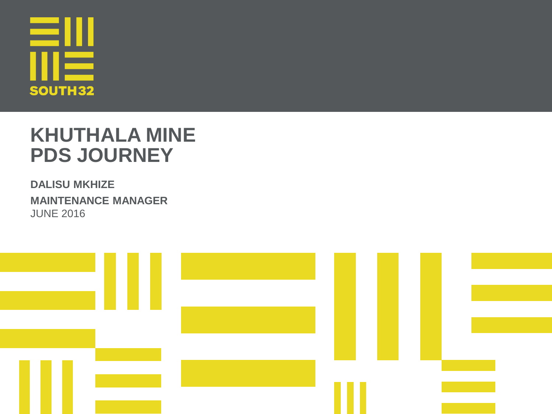

#### **KHUTHALA MINE PDS JOURNEY**

•**DALISU MKHIZE** •**MAINTENANCE MANAGER** •JUNE 2016

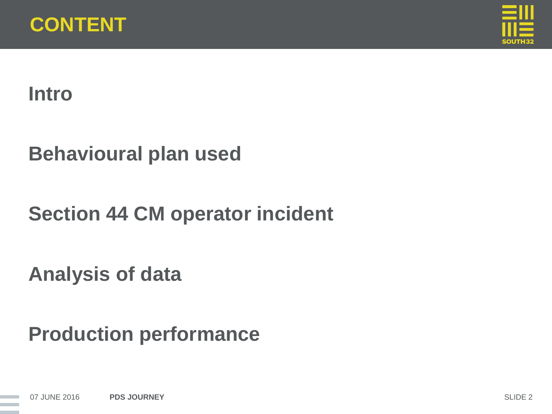



#### **Intro**

#### **Behavioural plan used**

## **Section 44 CM operator incident**

**Analysis of data**

**Production performance**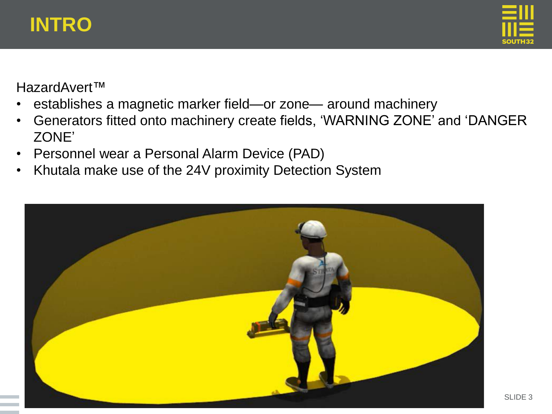



HazardAvert™

- establishes a magnetic marker field—or zone— around machinery
- Generators fitted onto machinery create fields, 'WARNING ZONE' and 'DANGER ZONE'
- Personnel wear a Personal Alarm Device (PAD)
- Khutala make use of the 24V proximity Detection System

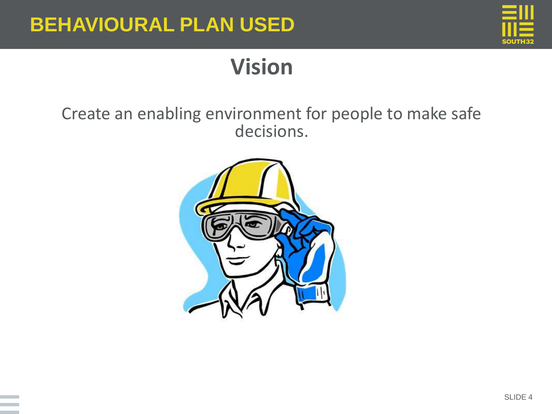

# **Vision**

#### Create an enabling environment for people to make safe decisions.

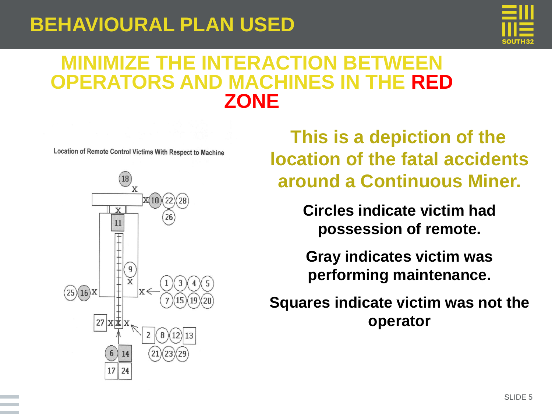

#### **MINIMIZE THE INTERACTION BETWEEN OPERATORS AND MACHINES IN THE RED ZONE**

Location of Remote Control Victims With Respect to Machine



**This is a depiction of the location of the fatal accidents around a Continuous Miner.** 

> •**Circles indicate victim had possession of remote.**

•**Gray indicates victim was performing maintenance.** 

•**Squares indicate victim was not the operator**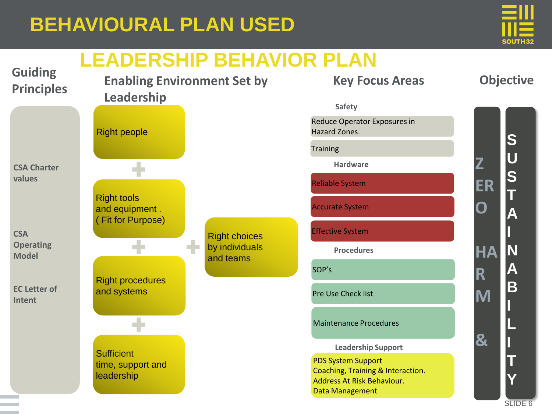

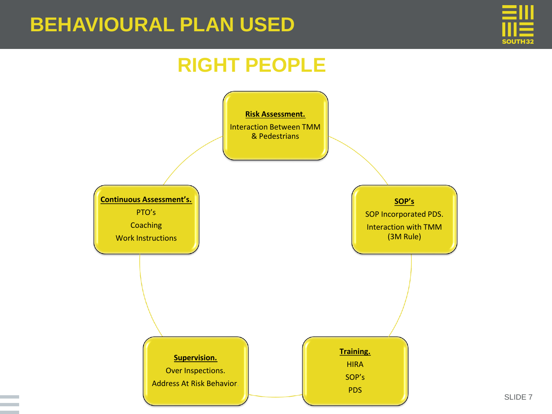

#### **RIGHT PEOPLE**

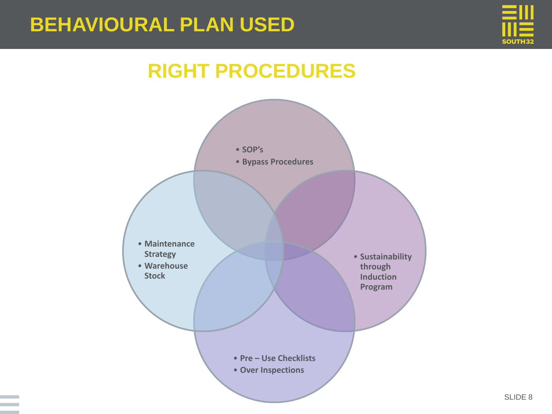

### **RIGHT PROCEDURES**

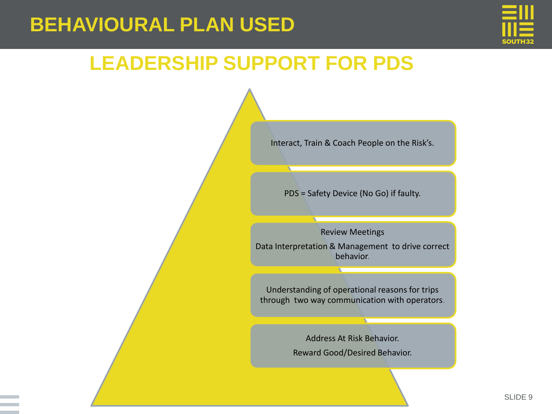

#### **LEADERSHIP SUPPORT FOR PDS**

Interact, Train & Coach People on the Risk's.

PDS = Safety Device (No Go) if faulty.

Review Meetings Data Interpretation & Management to drive correct behavior.

Understanding of operational reasons for trips through two way communication with operators.

> Address At Risk Behavior. Reward Good/Desired Behavior.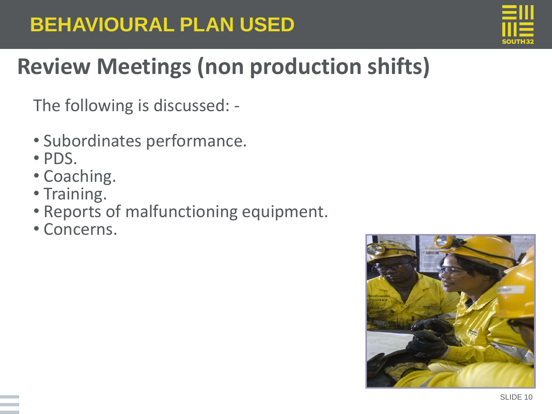

# **Review Meetings (non production shifts)**

The following is discussed: -

- Subordinates performance.
- PDS.
- Coaching.
- Training.
- Reports of malfunctioning equipment.
- Concerns.

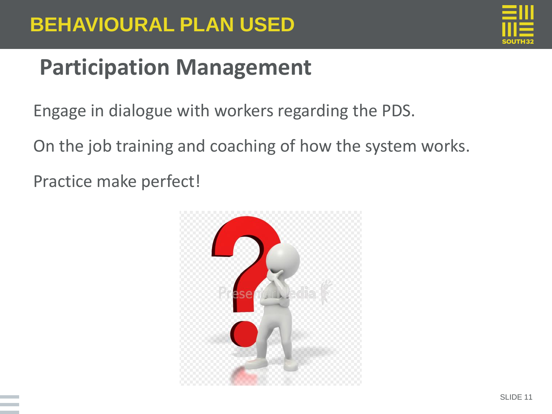

# **Participation Management**

Engage in dialogue with workers regarding the PDS.

On the job training and coaching of how the system works.

Practice make perfect!

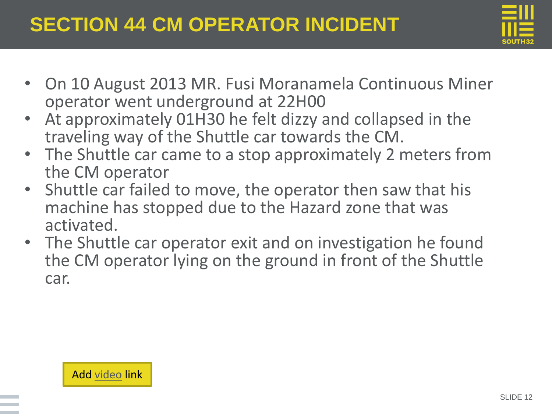

- On 10 August 2013 MR. Fusi Moranamela Continuous Miner operator went underground at 22H00
- At approximately 01H30 he felt dizzy and collapsed in the traveling way of the Shuttle car towards the CM.
- The Shuttle car came to a stop approximately 2 meters from the CM operator
- Shuttle car failed to move, the operator then saw that his machine has stopped due to the Hazard zone that was activated.
- The Shuttle car operator exit and on investigation he found the CM operator lying on the ground in front of the Shuttle car.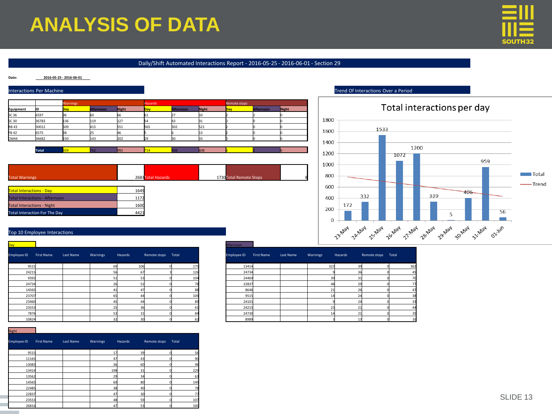#### •**ANALYSIS OF DATA**



#### Daily/Shift Automated Interactions Report - 2016-05-25 - 2016-06-01 - Section 29

#### **Date: 2016-05-25 - 2016-06-01**

#### Interactions Per Machine Trend Of Interactions Over a Period



| <b>Total Warnings</b>                                                    | 2683 Total Hazards | 1730 Total Remote Stops |  |
|--------------------------------------------------------------------------|--------------------|-------------------------|--|
|                                                                          |                    |                         |  |
| <b>Total Interactions - Day</b><br><b>Total Interactions - Afternoon</b> | 1649<br>1172       |                         |  |
| <b>Total Interactions - Night</b>                                        | 1600               |                         |  |
| <b>Total Interaction For The Day</b>                                     | 4421               |                         |  |



#### Top 10 Employee Interactions

| Day l       |                   |           |          |                       |                    |     | Afternoon   |        |                   |           |                     |  |
|-------------|-------------------|-----------|----------|-----------------------|--------------------|-----|-------------|--------|-------------------|-----------|---------------------|--|
| Employee ID | <b>First Name</b> | Last Name | Warnings | Hazards               | Remote stops Total |     | Employee ID |        | <b>First Name</b> | Last Name | Warnings<br>Hazards |  |
| 9515        |                   |           |          | 69                    | 106                | 175 |             | 13414  |                   |           | 323                 |  |
| 24215       |                   |           |          |                       |                    | 126 |             | 24734  |                   |           |                     |  |
| 9392        |                   |           |          |                       |                    | 104 |             | 24469  |                   |           |                     |  |
| 24734       |                   |           |          |                       |                    |     |             | 22837  |                   |           |                     |  |
| 14565       |                   |           |          | $\Delta$ <sup>1</sup> |                    |     |             | 8646   |                   |           |                     |  |
| 23707       |                   |           |          | 65                    |                    | 109 |             | 9515   |                   |           |                     |  |
| 23460       |                   |           |          |                       |                    |     |             | 24101  |                   |           |                     |  |
| 23553       |                   |           |          |                       |                    |     |             | 24215  |                   |           |                     |  |
| 7876        |                   |           |          | 53                    | 31                 | 84  |             | 24730  |                   |           |                     |  |
| انمممد      |                   |           |          |                       |                    |     |             | المممم |                   |           |                     |  |

|       |              |           |          |           |                    |     |             |            |           |          |         | _________          |
|-------|--------------|-----------|----------|-----------|--------------------|-----|-------------|------------|-----------|----------|---------|--------------------|
|       | D First Name | Last Name | Warnings | Hazards   | Remote stops Total |     | Employee ID | First Name | Last Name | Warnings | Hazards | Remote stops Total |
| 9515  |              |           |          | 106<br>69 |                    | 175 |             | 13414      |           |          | 323     |                    |
| 24215 |              |           |          |           |                    | 126 |             | 24734      |           |          |         |                    |
| 9392  |              |           |          |           |                    |     |             | 24469      |           |          |         |                    |
| 24734 |              |           |          |           |                    |     |             | 22837      |           |          |         |                    |
| 14565 |              |           |          |           |                    |     |             | 8646       |           |          |         |                    |
| 23707 |              |           |          | 65        |                    | 109 |             | 9515       |           |          |         |                    |
| 23460 |              |           |          |           |                    |     |             | 24101      |           |          |         |                    |
| 23553 |              |           |          |           |                    |     |             | 24215      |           |          |         |                    |
| 7876  |              |           |          |           |                    |     |             | 24730      |           |          |         |                    |
| 10824 |              |           |          |           |                    |     |             | 8989       |           |          |         |                    |

Night

| Employee ID | <b>First Name</b> | Last Name | Warnings | Hazards   | <b>Remote stops</b> | Total |
|-------------|-------------------|-----------|----------|-----------|---------------------|-------|
| 9515        |                   |           | 17       | 39        |                     | 56    |
| 11165       |                   |           | 47       | 43        |                     | 90    |
| 13083       |                   |           | 36       | <b>60</b> |                     | 96    |
| 13414       |                   |           | 198      | 31        |                     | 229   |
| 13562       |                   |           | 29       | 34        |                     | 63    |
| 14565       |                   |           | 69       | 80        |                     | 149   |
| 22485       |                   |           | 38       | 40        |                     | 78    |
| 22837       |                   |           | 47       | 30        |                     | 77    |
| 23553       |                   |           | 48       | 59        |                     | 107   |
| 26816       |                   |           | 47       | 53        |                     | 100   |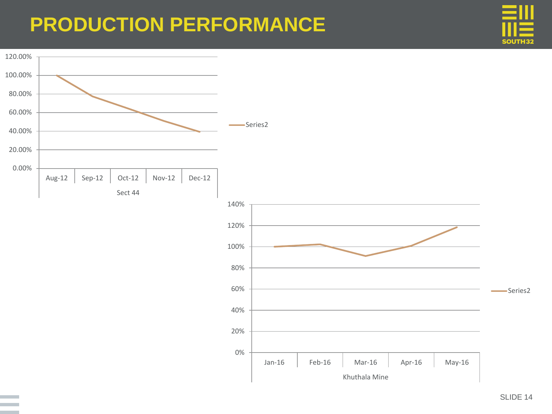## •**PRODUCTION PERFORMANCE**



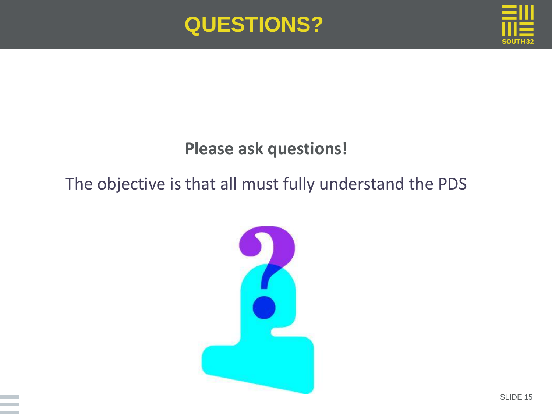



#### **Please ask questions!**

#### The objective is that all must fully understand the PDS